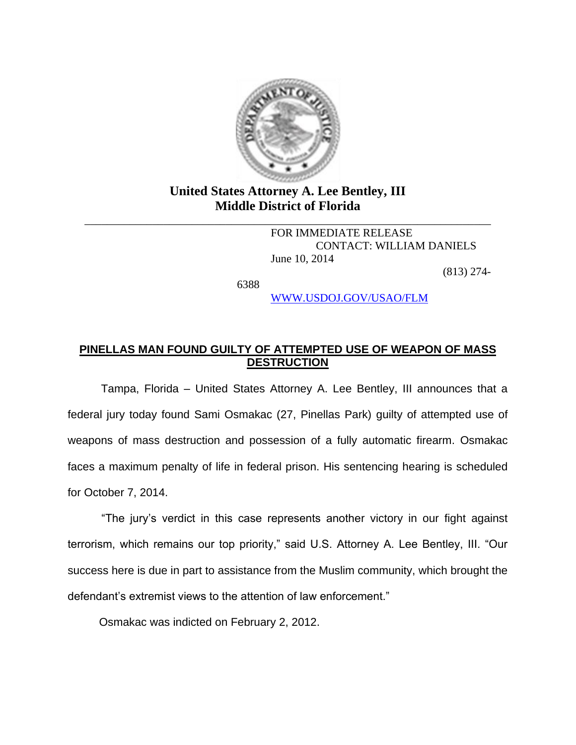

**United States Attorney A. Lee Bentley, III Middle District of Florida**

\_\_\_\_\_\_\_\_\_\_\_\_\_\_\_\_\_\_\_\_\_\_\_\_\_\_\_\_\_\_\_\_\_\_\_\_\_\_\_\_\_\_\_\_\_\_\_\_\_\_\_\_\_\_\_\_\_\_\_\_\_\_\_\_\_\_\_\_\_\_\_\_ FOR IMMEDIATE RELEASE CONTACT: WILLIAM DANIELS June 10, 2014

(813) 274-

6388

[WWW.USDOJ.GOV/USAO/FLM](http://www.usdoj.gov/usao/flm) 

## **PINELLAS MAN FOUND GUILTY OF ATTEMPTED USE OF WEAPON OF MASS DESTRUCTION**

 Tampa, Florida – United States Attorney A. Lee Bentley, III announces that a federal jury today found Sami Osmakac (27, Pinellas Park) guilty of attempted use of weapons of mass destruction and possession of a fully automatic firearm. Osmakac faces a maximum penalty of life in federal prison. His sentencing hearing is scheduled for October 7, 2014.

 "The jury's verdict in this case represents another victory in our fight against terrorism, which remains our top priority," said U.S. Attorney A. Lee Bentley, III. "Our success here is due in part to assistance from the Muslim community, which brought the defendant's extremist views to the attention of law enforcement."

Osmakac was indicted on February 2, 2012.